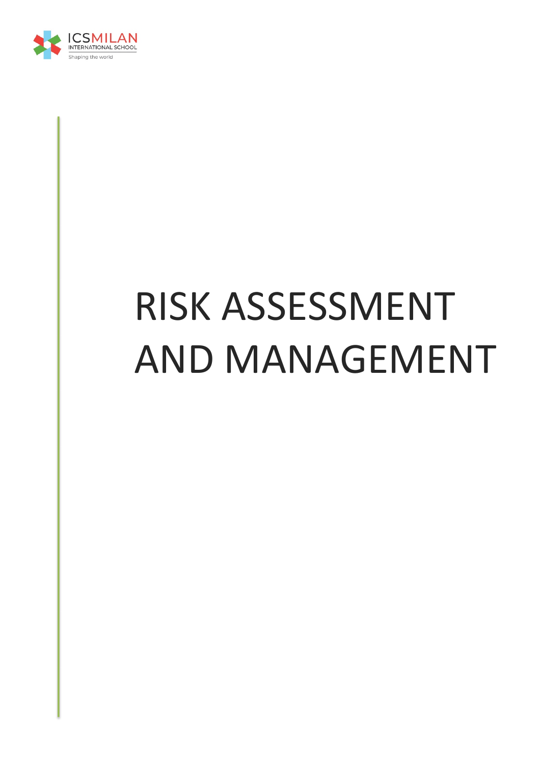

# RISK ASSESSMENT AND MANAGEMENT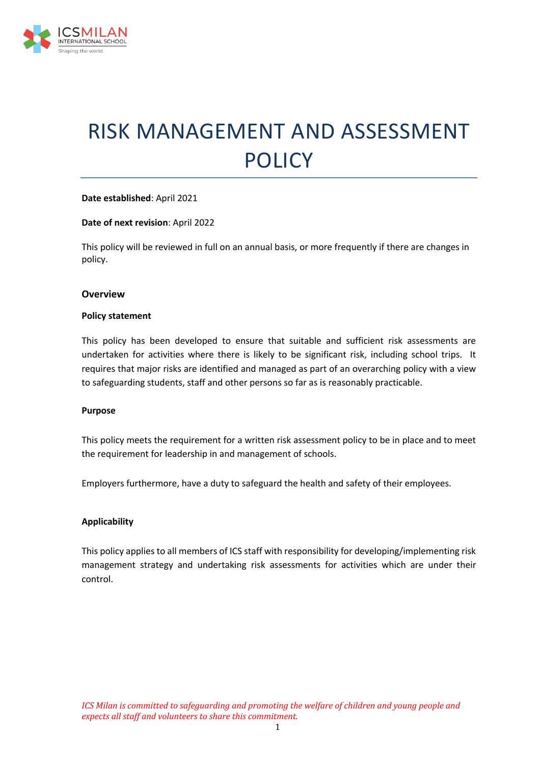

## RISK MANAGEMENT AND ASSESSMENT POLICY

#### **Date established**: April 2021

#### **Date of next revision**: April 2022

This policy will be reviewed in full on an annual basis, or more frequently if there are changes in policy.

#### **Overview**

#### **Policy statement**

This policy has been developed to ensure that suitable and sufficient risk assessments are undertaken for activities where there is likely to be significant risk, including school trips. It requires that major risks are identified and managed as part of an overarching policy with a view to safeguarding students, staff and other persons so far as is reasonably practicable.

#### **Purpose**

This policy meets the requirement for a written risk assessment policy to be in place and to meet the requirement for leadership in and management of schools.

Employers furthermore, have a duty to safeguard the health and safety of their employees.

#### **Applicability**

This policy applies to all members of ICS staff with responsibility for developing/implementing risk management strategy and undertaking risk assessments for activities which are under their control.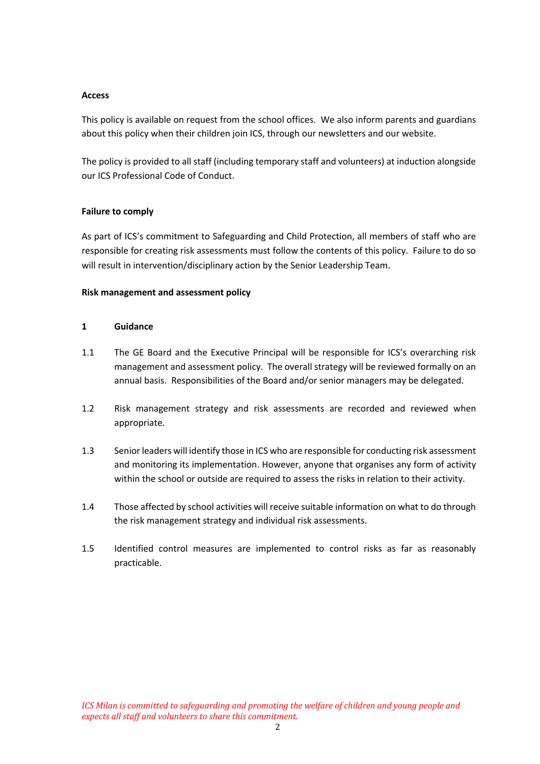#### **Access**

This policy is available on request from the school offices. We also inform parents and guardians about this policy when their children join ICS, through our newsletters and our website.

The policy is provided to all staff (including temporary staff and volunteers) at induction alongside our ICS Professional Code of Conduct.

#### **Failure to comply**

As part of ICS's commitment to Safeguarding and Child Protection, all members of staff who are responsible for creating risk assessments must follow the contents of this policy. Failure to do so will result in intervention/disciplinary action by the Senior Leadership Team.

#### **Risk management and assessment policy**

#### **1 Guidance**

- 1.1 The GE Board and the Executive Principal will be responsible for ICS's overarching risk management and assessment policy. The overall strategy will be reviewed formally on an annual basis. Responsibilities of the Board and/or senior managers may be delegated.
- 1.2 Risk management strategy and risk assessments are recorded and reviewed when appropriate.
- 1.3 Senior leaders will identify those in ICS who are responsible for conducting risk assessment and monitoring its implementation. However, anyone that organises any form of activity within the school or outside are required to assess the risks in relation to their activity.
- 1.4 Those affected by school activities will receive suitable information on what to do through the risk management strategy and individual risk assessments.
- 1.5 Identified control measures are implemented to control risks as far as reasonably practicable.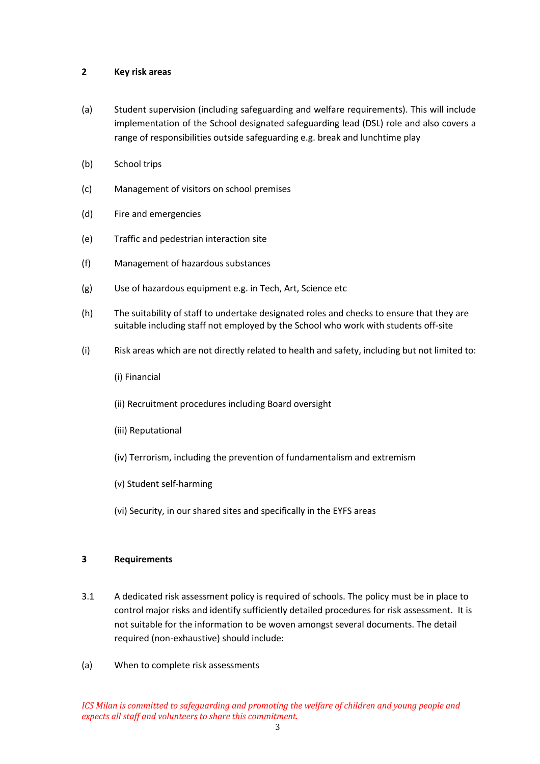#### **2 Key risk areas**

- (a) Student supervision (including safeguarding and welfare requirements). This will include implementation of the School designated safeguarding lead (DSL) role and also covers a range of responsibilities outside safeguarding e.g. break and lunchtime play
- (b) School trips
- (c) Management of visitors on school premises
- (d) Fire and emergencies
- (e) Traffic and pedestrian interaction site
- (f) Management of hazardous substances
- (g) Use of hazardous equipment e.g. in Tech, Art, Science etc
- (h) The suitability of staff to undertake designated roles and checks to ensure that they are suitable including staff not employed by the School who work with students off-site
- (i) Risk areas which are not directly related to health and safety, including but not limited to:
	- (i) Financial
	- (ii) Recruitment procedures including Board oversight
	- (iii) Reputational
	- (iv) Terrorism, including the prevention of fundamentalism and extremism
	- (v) Student self-harming
	- (vi) Security, in our shared sites and specifically in the EYFS areas

#### **3 Requirements**

- 3.1 A dedicated risk assessment policy is required of schools. The policy must be in place to control major risks and identify sufficiently detailed procedures for risk assessment. It is not suitable for the information to be woven amongst several documents. The detail required (non-exhaustive) should include:
- (a) When to complete risk assessments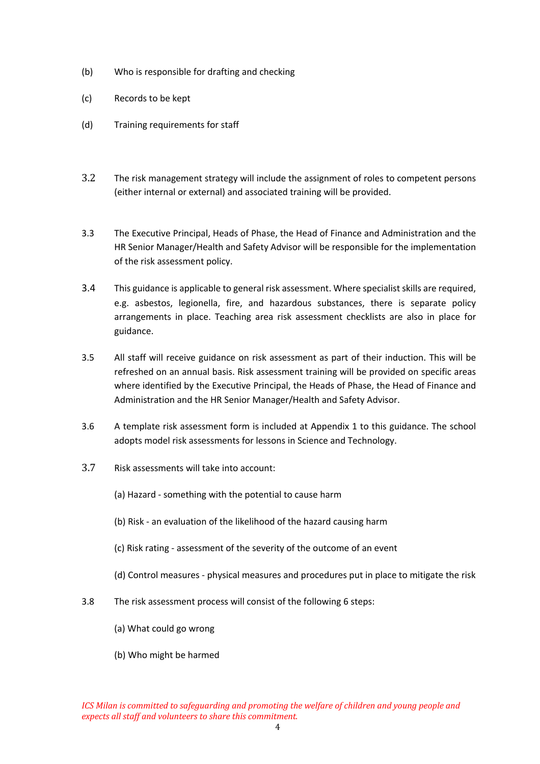- (b) Who is responsible for drafting and checking
- (c) Records to be kept
- (d) Training requirements for staff
- 3.2 The risk management strategy will include the assignment of roles to competent persons (either internal or external) and associated training will be provided.
- 3.3 The Executive Principal, Heads of Phase, the Head of Finance and Administration and the HR Senior Manager/Health and Safety Advisor will be responsible for the implementation of the risk assessment policy.
- 3.4 This guidance is applicable to general risk assessment. Where specialist skills are required, e.g. asbestos, legionella, fire, and hazardous substances, there is separate policy arrangements in place. Teaching area risk assessment checklists are also in place for guidance.
- 3.5 All staff will receive guidance on risk assessment as part of their induction. This will be refreshed on an annual basis. Risk assessment training will be provided on specific areas where identified by the Executive Principal, the Heads of Phase, the Head of Finance and Administration and the HR Senior Manager/Health and Safety Advisor.
- 3.6 A template risk assessment form is included at Appendix 1 to this guidance. The school adopts model risk assessments for lessons in Science and Technology.
- 3.7 Risk assessments will take into account:
	- (a) Hazard something with the potential to cause harm
	- (b) Risk an evaluation of the likelihood of the hazard causing harm
	- (c) Risk rating assessment of the severity of the outcome of an event
	- (d) Control measures physical measures and procedures put in place to mitigate the risk
- 3.8 The risk assessment process will consist of the following 6 steps:
	- (a) What could go wrong
	- (b) Who might be harmed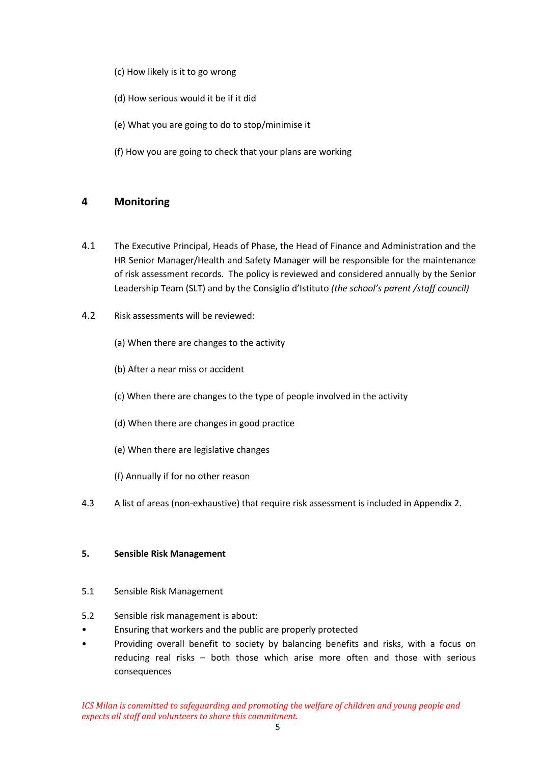- (c) How likely is it to go wrong
- (d) How serious would it be if it did
- (e) What you are going to do to stop/minimise it
- (f) How you are going to check that your plans are working

### **4 Monitoring**

- 4.1 The Executive Principal, Heads of Phase, the Head of Finance and Administration and the HR Senior Manager/Health and Safety Manager will be responsible for the maintenance of risk assessment records. The policy is reviewed and considered annually by the Senior Leadership Team (SLT) and by the Consiglio d'Istituto *(the school's parent /staff council)*
- 4.2 Risk assessments will be reviewed:
	- (a) When there are changes to the activity
	- (b) After a near miss or accident
	- (c) When there are changes to the type of people involved in the activity
	- (d) When there are changes in good practice
	- (e) When there are legislative changes
	- (f) Annually if for no other reason
- 4.3 A list of areas (non-exhaustive) that require risk assessment is included in Appendix 2.

#### **5. Sensible Risk Management**

- 5.1 Sensible Risk Management
- 5.2 Sensible risk management is about:
- Ensuring that workers and the public are properly protected
- Providing overall benefit to society by balancing benefits and risks, with a focus on reducing real risks – both those which arise more often and those with serious consequences